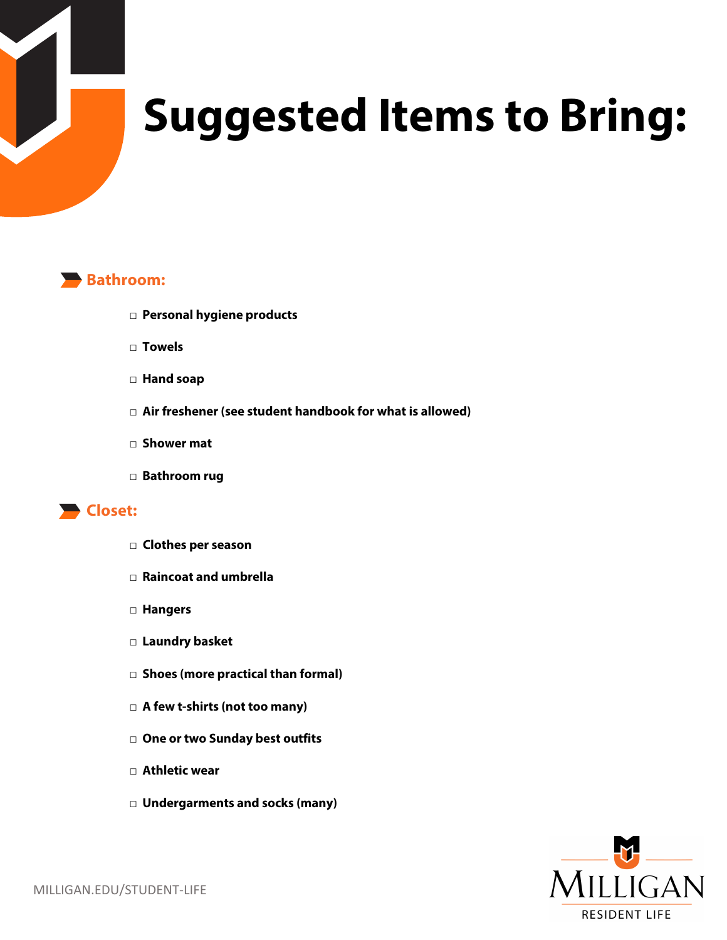

# **Suggested Items to Bring:**



- **□ Personal hygiene products**
- **□ Towels**
- **□ Hand soap**
- **□ Air freshener (see student handbook for what is allowed)**
- **□ Shower mat**
- **□ Bathroom rug**

### **Closet:**

- □ **Clothes per season**
- **□ Raincoat and umbrella**
- **□ Hangers**
- **□ Laundry basket**
- **□ Shoes (more practical than formal)**
- **□ A few t-shirts (not too many)**
- **□ One or two Sunday best outfits**
- **□ Athletic wear**
- **□ Undergarments and socks (many)**

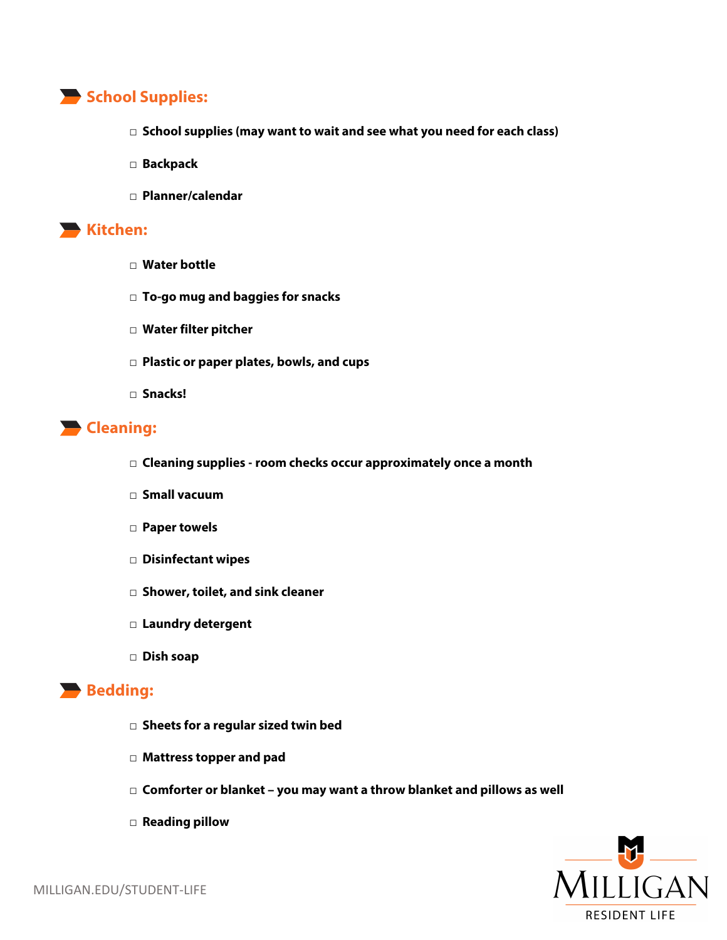## **School Supplies:**

- **□ School supplies (may want to wait and see what you need for each class)**
- **□ Backpack**
- **□ Planner/calendar**

#### **Kitchen:**

- **□ Water bottle**
- **□ To-go mug and baggies for snacks**
- **□ Water filter pitcher**
- **□ Plastic or paper plates, bowls, and cups**
- **□ Snacks!**

## **Cleaning:**

- **□ Cleaning supplies - room checks occur approximately once a month**
- **□ Small vacuum**
- **□ Paper towels**
- **□ Disinfectant wipes**
- **□ Shower, toilet, and sink cleaner**
- **□ Laundry detergent**
- **□ Dish soap**

#### **Bedding:**

- **□ Sheets for a regular sized twin bed**
- **□ Mattress topper and pad**
- **□ Comforter or blanket – you may want a throw blanket and pillows as well**
- **□ Reading pillow**